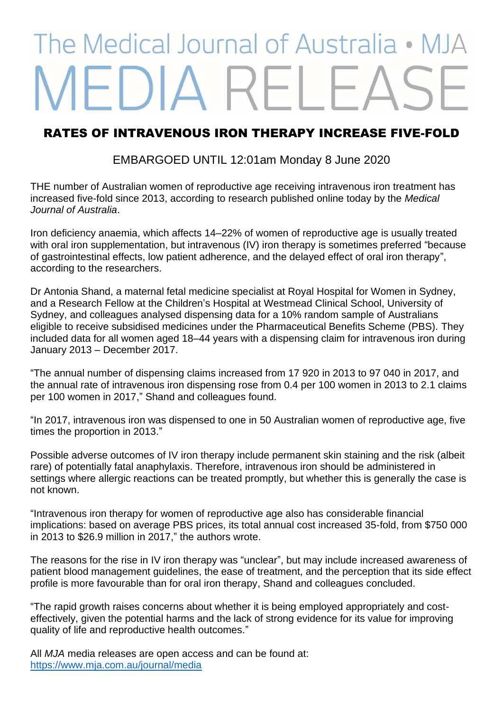## The Medical Journal of Australia • M **JEDIA REL**

## RATES OF INTRAVENOUS IRON THERAPY INCREASE FIVE-FOLD

EMBARGOED UNTIL 12:01am Monday 8 June 2020

THE number of Australian women of reproductive age receiving intravenous iron treatment has increased five-fold since 2013, according to research published online today by the *Medical Journal of Australia*.

Iron deficiency anaemia, which affects 14–22% of women of reproductive age is usually treated with oral iron supplementation, but intravenous (IV) iron therapy is sometimes preferred "because of gastrointestinal effects, low patient adherence, and the delayed effect of oral iron therapy", according to the researchers.

Dr Antonia Shand, a maternal fetal medicine specialist at Royal Hospital for Women in Sydney, and a Research Fellow at the Children's Hospital at Westmead Clinical School, University of Sydney, and colleagues analysed dispensing data for a 10% random sample of Australians eligible to receive subsidised medicines under the Pharmaceutical Benefits Scheme (PBS). They included data for all women aged 18–44 years with a dispensing claim for intravenous iron during January 2013 – December 2017.

"The annual number of dispensing claims increased from 17 920 in 2013 to 97 040 in 2017, and the annual rate of intravenous iron dispensing rose from 0.4 per 100 women in 2013 to 2.1 claims per 100 women in 2017," Shand and colleagues found.

"In 2017, intravenous iron was dispensed to one in 50 Australian women of reproductive age, five times the proportion in 2013."

Possible adverse outcomes of IV iron therapy include permanent skin staining and the risk (albeit rare) of potentially fatal anaphylaxis. Therefore, intravenous iron should be administered in settings where allergic reactions can be treated promptly, but whether this is generally the case is not known.

"Intravenous iron therapy for women of reproductive age also has considerable financial implications: based on average PBS prices, its total annual cost increased 35-fold, from \$750 000 in 2013 to \$26.9 million in 2017," the authors wrote.

The reasons for the rise in IV iron therapy was "unclear", but may include increased awareness of patient blood management guidelines, the ease of treatment, and the perception that its side effect profile is more favourable than for oral iron therapy, Shand and colleagues concluded.

"The rapid growth raises concerns about whether it is being employed appropriately and costeffectively, given the potential harms and the lack of strong evidence for its value for improving quality of life and reproductive health outcomes."

All *MJA* media releases are open access and can be found at: <https://www.mja.com.au/journal/media>